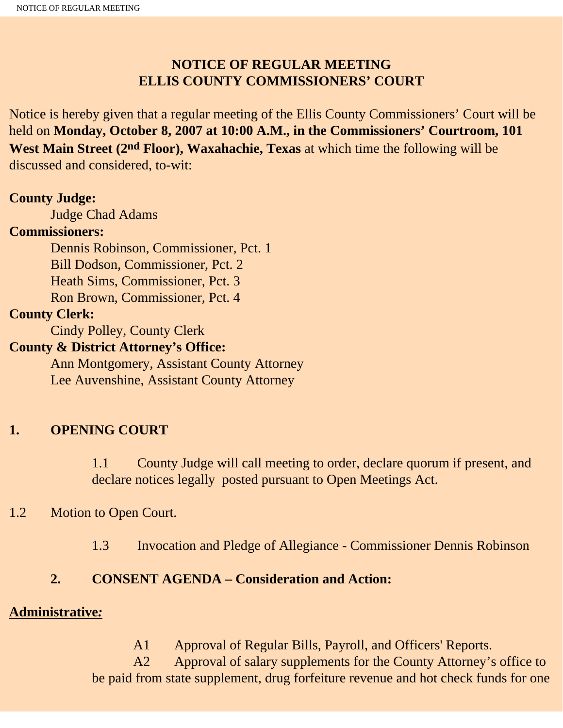### **NOTICE OF REGULAR MEETING ELLIS COUNTY COMMISSIONERS' COURT**

Notice is hereby given that a regular meeting of the Ellis County Commissioners' Court will be held on **Monday, October 8, 2007 at 10:00 A.M., in the Commissioners' Courtroom, 101 West Main Street (2nd Floor), Waxahachie, Texas** at which time the following will be discussed and considered, to-wit:

#### **County Judge:**

Judge Chad Adams

#### **Commissioners:**

 Dennis Robinson, Commissioner, Pct. 1 Bill Dodson, Commissioner, Pct. 2 Heath Sims, Commissioner, Pct. 3 Ron Brown, Commissioner, Pct. 4

#### **County Clerk:**

Cindy Polley, County Clerk

#### **County & District Attorney's Office:**

 Ann Montgomery, Assistant County Attorney Lee Auvenshine, Assistant County Attorney

### **1. OPENING COURT**

1.1 County Judge will call meeting to order, declare quorum if present, and declare notices legally posted pursuant to Open Meetings Act.

#### 1.2 Motion to Open Court.

1.3 Invocation and Pledge of Allegiance - Commissioner Dennis Robinson

### **2. CONSENT AGENDA – Consideration and Action:**

#### **Administrative***:*

A1 Approval of Regular Bills, Payroll, and Officers' Reports.

 A2 Approval of salary supplements for the County Attorney's office to be paid from state supplement, drug forfeiture revenue and hot check funds for one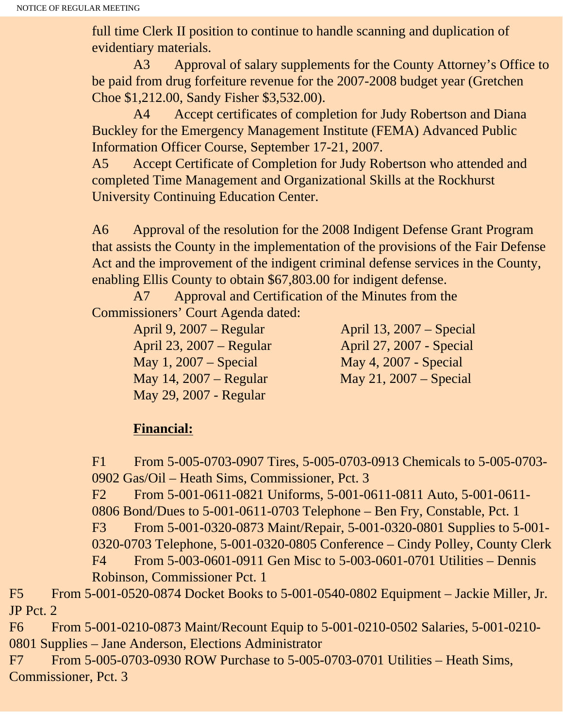full time Clerk II position to continue to handle scanning and duplication of evidentiary materials.

 A3 Approval of salary supplements for the County Attorney's Office to be paid from drug forfeiture revenue for the 2007-2008 budget year (Gretchen Choe \$1,212.00, Sandy Fisher \$3,532.00).

 A4 Accept certificates of completion for Judy Robertson and Diana Buckley for the Emergency Management Institute (FEMA) Advanced Public Information Officer Course, September 17-21, 2007.

A5 Accept Certificate of Completion for Judy Robertson who attended and completed Time Management and Organizational Skills at the Rockhurst University Continuing Education Center.

A6 Approval of the resolution for the 2008 Indigent Defense Grant Program that assists the County in the implementation of the provisions of the Fair Defense Act and the improvement of the indigent criminal defense services in the County, enabling Ellis County to obtain \$67,803.00 for indigent defense.

 A7 Approval and Certification of the Minutes from the Commissioners' Court Agenda dated:

April 9, 2007 – Regular April 13, 2007 – Special April 23, 2007 – Regular April 27, 2007 - Special May 1, 2007 – Special May 4, 2007 - Special May 14, 2007 – Regular May 21, 2007 – Special May 29, 2007 - Regular

### **Financial:**

F1 From 5-005-0703-0907 Tires, 5-005-0703-0913 Chemicals to 5-005-0703- 0902 Gas/Oil – Heath Sims, Commissioner, Pct. 3

F2 From 5-001-0611-0821 Uniforms, 5-001-0611-0811 Auto, 5-001-0611- 0806 Bond/Dues to 5-001-0611-0703 Telephone – Ben Fry, Constable, Pct. 1 F3 From 5-001-0320-0873 Maint/Repair, 5-001-0320-0801 Supplies to 5-001- 0320-0703 Telephone, 5-001-0320-0805 Conference – Cindy Polley, County Clerk F4 From 5-003-0601-0911 Gen Misc to 5-003-0601-0701 Utilities – Dennis Robinson, Commissioner Pct. 1

F5 From 5-001-0520-0874 Docket Books to 5-001-0540-0802 Equipment – Jackie Miller, Jr. JP Pct. 2

F6 From 5-001-0210-0873 Maint/Recount Equip to 5-001-0210-0502 Salaries, 5-001-0210- 0801 Supplies – Jane Anderson, Elections Administrator

F7 From 5-005-0703-0930 ROW Purchase to 5-005-0703-0701 Utilities – Heath Sims, Commissioner, Pct. 3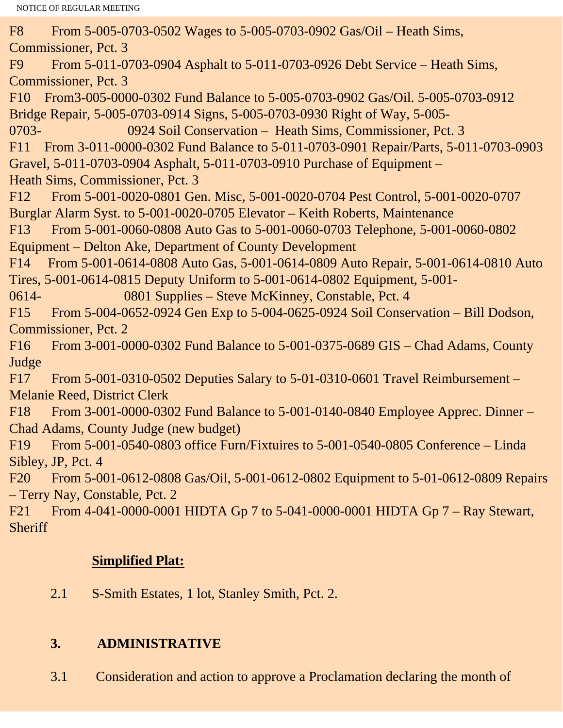F8 From 5-005-0703-0502 Wages to 5-005-0703-0902 Gas/Oil – Heath Sims, Commissioner, Pct. 3 F9 From 5-011-0703-0904 Asphalt to 5-011-0703-0926 Debt Service – Heath Sims, Commissioner, Pct. 3 F10 From3-005-0000-0302 Fund Balance to 5-005-0703-0902 Gas/Oil. 5-005-0703-0912 Bridge Repair, 5-005-0703-0914 Signs, 5-005-0703-0930 Right of Way, 5-005- 0703- 0924 Soil Conservation – Heath Sims, Commissioner, Pct. 3 F11 From 3-011-0000-0302 Fund Balance to 5-011-0703-0901 Repair/Parts, 5-011-0703-0903 Gravel, 5-011-0703-0904 Asphalt, 5-011-0703-0910 Purchase of Equipment – Heath Sims, Commissioner, Pct. 3 F12 From 5-001-0020-0801 Gen. Misc, 5-001-0020-0704 Pest Control, 5-001-0020-0707 Burglar Alarm Syst. to 5-001-0020-0705 Elevator – Keith Roberts, Maintenance F13 From 5-001-0060-0808 Auto Gas to 5-001-0060-0703 Telephone, 5-001-0060-0802 Equipment – Delton Ake, Department of County Development F14 From 5-001-0614-0808 Auto Gas, 5-001-0614-0809 Auto Repair, 5-001-0614-0810 Auto Tires, 5-001-0614-0815 Deputy Uniform to 5-001-0614-0802 Equipment, 5-001- 0614- 0801 Supplies – Steve McKinney, Constable, Pct. 4 F15 From 5-004-0652-0924 Gen Exp to 5-004-0625-0924 Soil Conservation – Bill Dodson, Commissioner, Pct. 2 F16 From 3-001-0000-0302 Fund Balance to 5-001-0375-0689 GIS – Chad Adams, County Judge F17 From 5-001-0310-0502 Deputies Salary to 5-01-0310-0601 Travel Reimbursement – Melanie Reed, District Clerk F18 From 3-001-0000-0302 Fund Balance to 5-001-0140-0840 Employee Apprec. Dinner – Chad Adams, County Judge (new budget) F19 From 5-001-0540-0803 office Furn/Fixtuires to 5-001-0540-0805 Conference – Linda Sibley, JP, Pct. 4 F20 From 5-001-0612-0808 Gas/Oil, 5-001-0612-0802 Equipment to 5-01-0612-0809 Repairs – Terry Nay, Constable, Pct. 2 F21 From 4-041-0000-0001 HIDTA Gp 7 to 5-041-0000-0001 HIDTA Gp 7 – Ray Stewart, **Sheriff** 

# **Simplified Plat:**

2.1 S-Smith Estates, 1 lot, Stanley Smith, Pct. 2.

# **3. ADMINISTRATIVE**

3.1 Consideration and action to approve a Proclamation declaring the month of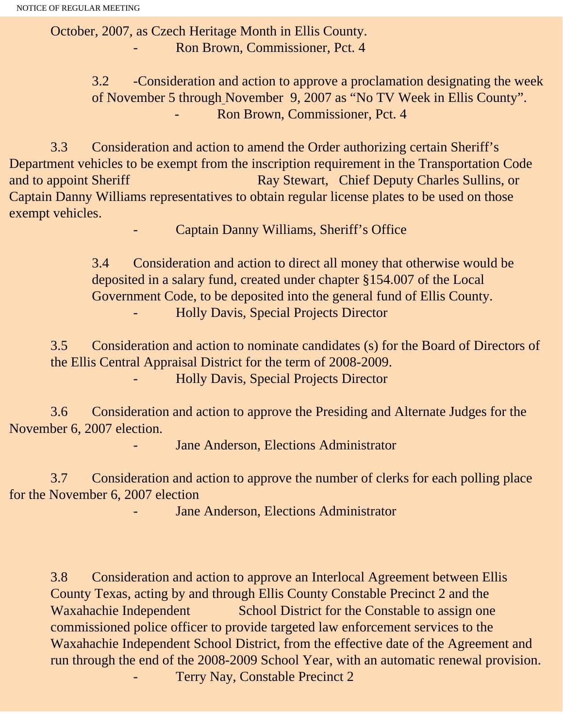October, 2007, as Czech Heritage Month in Ellis County. - Ron Brown, Commissioner, Pct. 4

> 3.2 -Consideration and action to approve a proclamation designating the week of November 5 through November 9, 2007 as "No TV Week in Ellis County". - Ron Brown, Commissioner, Pct. 4

 3.3 Consideration and action to amend the Order authorizing certain Sheriff's Department vehicles to be exempt from the inscription requirement in the Transportation Code and to appoint Sheriff Ray Stewart, Chief Deputy Charles Sullins, or Captain Danny Williams representatives to obtain regular license plates to be used on those exempt vehicles.

Captain Danny Williams, Sheriff's Office

3.4 Consideration and action to direct all money that otherwise would be deposited in a salary fund, created under chapter §154.007 of the Local Government Code, to be deposited into the general fund of Ellis County. - Holly Davis, Special Projects Director

3.5 Consideration and action to nominate candidates (s) for the Board of Directors of the Ellis Central Appraisal District for the term of 2008-2009. - Holly Davis, Special Projects Director

 3.6 Consideration and action to approve the Presiding and Alternate Judges for the November 6, 2007 election.

Jane Anderson, Elections Administrator

 3.7 Consideration and action to approve the number of clerks for each polling place for the November 6, 2007 election

Jane Anderson, Elections Administrator

3.8 Consideration and action to approve an Interlocal Agreement between Ellis County Texas, acting by and through Ellis County Constable Precinct 2 and the Waxahachie Independent School District for the Constable to assign one commissioned police officer to provide targeted law enforcement services to the Waxahachie Independent School District, from the effective date of the Agreement and run through the end of the 2008-2009 School Year, with an automatic renewal provision. Terry Nay, Constable Precinct 2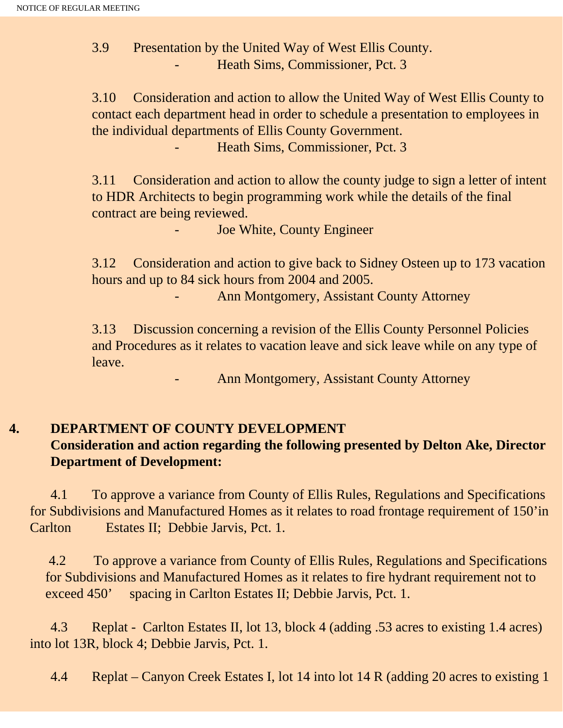3.9 Presentation by the United Way of West Ellis County. - Heath Sims, Commissioner, Pct. 3

3.10 Consideration and action to allow the United Way of West Ellis County to contact each department head in order to schedule a presentation to employees in the individual departments of Ellis County Government.

- Heath Sims, Commissioner, Pct. 3

3.11 Consideration and action to allow the county judge to sign a letter of intent to HDR Architects to begin programming work while the details of the final contract are being reviewed.

Joe White, County Engineer

3.12 Consideration and action to give back to Sidney Osteen up to 173 vacation hours and up to 84 sick hours from 2004 and 2005.

Ann Montgomery, Assistant County Attorney

3.13 Discussion concerning a revision of the Ellis County Personnel Policies and Procedures as it relates to vacation leave and sick leave while on any type of leave.

Ann Montgomery, Assistant County Attorney

# **4. DEPARTMENT OF COUNTY DEVELOPMENT**

# **Consideration and action regarding the following presented by Delton Ake, Director Department of Development:**

 4.1 To approve a variance from County of Ellis Rules, Regulations and Specifications for Subdivisions and Manufactured Homes as it relates to road frontage requirement of 150'in Carlton Estates II; Debbie Jarvis, Pct. 1.

 4.2 To approve a variance from County of Ellis Rules, Regulations and Specifications for Subdivisions and Manufactured Homes as it relates to fire hydrant requirement not to exceed 450' spacing in Carlton Estates II; Debbie Jarvis, Pct. 1.

 4.3 Replat - Carlton Estates II, lot 13, block 4 (adding .53 acres to existing 1.4 acres) into lot 13R, block 4; Debbie Jarvis, Pct. 1.

4.4 Replat – Canyon Creek Estates I, lot 14 into lot 14 R (adding 20 acres to existing 1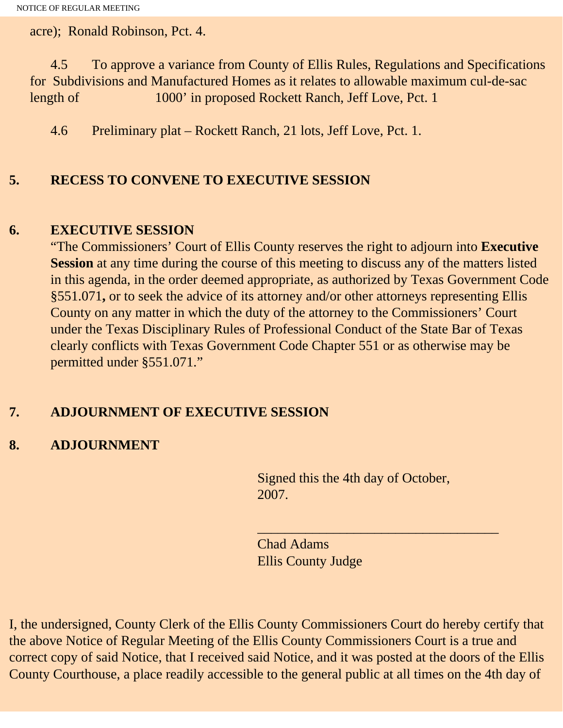acre); Ronald Robinson, Pct. 4.

 4.5 To approve a variance from County of Ellis Rules, Regulations and Specifications for Subdivisions and Manufactured Homes as it relates to allowable maximum cul-de-sac length of 1000' in proposed Rockett Ranch, Jeff Love, Pct. 1

4.6 Preliminary plat – Rockett Ranch, 21 lots, Jeff Love, Pct. 1.

#### **5. RECESS TO CONVENE TO EXECUTIVE SESSION**

#### **6. EXECUTIVE SESSION**

"The Commissioners' Court of Ellis County reserves the right to adjourn into **Executive Session** at any time during the course of this meeting to discuss any of the matters listed in this agenda, in the order deemed appropriate, as authorized by Texas Government Code §551.071**,** or to seek the advice of its attorney and/or other attorneys representing Ellis County on any matter in which the duty of the attorney to the Commissioners' Court under the Texas Disciplinary Rules of Professional Conduct of the State Bar of Texas clearly conflicts with Texas Government Code Chapter 551 or as otherwise may be permitted under §551.071."

### **7. ADJOURNMENT OF EXECUTIVE SESSION**

### **8. ADJOURNMENT**

Signed this the 4th day of October, 2007.

 $\overline{\phantom{a}}$  , and the set of the set of the set of the set of the set of the set of the set of the set of the set of the set of the set of the set of the set of the set of the set of the set of the set of the set of the s

Chad Adams Ellis County Judge

I, the undersigned, County Clerk of the Ellis County Commissioners Court do hereby certify that the above Notice of Regular Meeting of the Ellis County Commissioners Court is a true and correct copy of said Notice, that I received said Notice, and it was posted at the doors of the Ellis County Courthouse, a place readily accessible to the general public at all times on the 4th day of